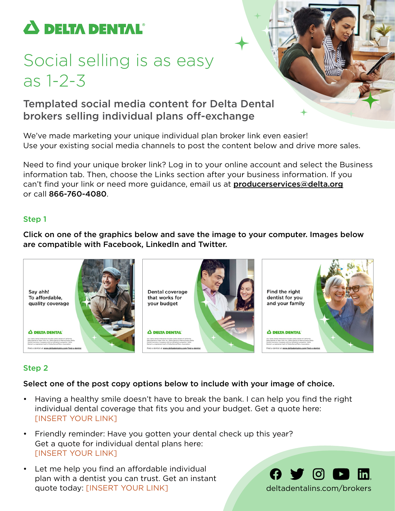

# Social selling is as easy as 1-2-3

## Templated social media content for Delta Dental brokers selling individual plans off-exchange

We've made marketing your unique individual plan broker link even easier! Use your existing social media channels to post the content below and drive more sales.

Need to find your unique broker link? Log in to your online account and select the Business information tab. Then, choose the Links section after your business information. If you can't find your link or need more guidance, email us at **producerservices@delta.org** or call 866-760-4080.

### Step 1

Click on one of the graphics below and save the image to your computer. Images below are compatible with Facebook, LinkedIn and Twitter.



## Step 2

#### Select one of the post copy options below to include with your image of choice.

- Having a healthy smile doesn't have to break the bank. I can help you find the right individual dental coverage that fits you and your budget. Get a quote here: [INSERT YOUR LINK]
- Friendly reminder: Have you gotten your dental check up this year? Get a quote for individual dental plans here: [INSERT YOUR LINK]
- Let me help you find an affordable individual plan with a dentist you can trust. Get an instant quote today: [INSERT YOUR LINK] [deltadentalins.com/](http://deltadentalins.com/brokers)brokers

 $\mathbf \Theta$  y o  $\mathbf \Omega$